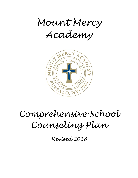*Mount Mercy Academy*



# *Comprehensive School Counseling Plan*

*Revised 2018*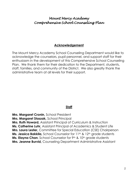### **Acknowledgement**

The Mount Mercy Academy School Counseling Department would like to acknowledge the counselors, pupil personnel, and support staff for their enthusiasm in the development of this Comprehensive School Counseling Plan. We thank them for their dedication to the Department, students, staff, families, and community of the District. We also greatly thank the administrative team at all levels for their support.

### **Staff**

**Mrs. Margaret Cronin,** School President **Mrs. Margaret Staszak,** School Principal **Mrs. Ruth Howard,** Assistant Principal of Curriculum & Instruction **Ms. Catherine Luhr,** Assistant Principal of Academics & Student Life **Mrs. Laura Lester,** Committee for Special Education (CSE) Chairperson **Ms. Jessica Bakkila**, School Counselor for 11<sup>th</sup> & 12<sup>th</sup> grade students **Ms. Elayna Chan**, School Counselor for 9<sup>th</sup> & 10<sup>th</sup> grade students **Mrs. Jeanne Burvid,** Counseling Department Administrative Assistant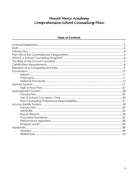| Staff. |  |
|--------|--|
|        |  |
|        |  |
|        |  |
|        |  |
|        |  |
|        |  |
|        |  |
|        |  |
|        |  |
|        |  |
|        |  |
|        |  |
|        |  |
|        |  |
|        |  |
|        |  |
|        |  |
|        |  |
|        |  |
|        |  |
|        |  |
|        |  |
|        |  |
|        |  |
|        |  |
|        |  |

### **Table of Contents**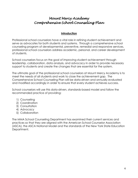### **Introduction**

Professional school counselors have a vital role in refining student achievement and serve as advocates for both students and systems. Through a comprehensive school counseling program of developmental, preventive, remedial and responsive services, professional school counselors address academic, personal, and career development of students.

School counselors focus on the goal of improving student achievement through leadership, collaboration, data analysis, and advocacy in order to provide necessary support to students and create the changes that are essential for the system.

The ultimate goal of the professional school counselors at Mount Mercy Academy is to meet the needs of all students and work to close the achievement gap. The Comprehensive School Counseling Plan will be data-driven and annually evaluated and modified accordingly in order to ensure that every student achieves success.

School counselors will use this data-driven, standards-based model and follow the recommended practice of providing:

- 1) Counseling
- 2) Coordination
- 3) Consultation
- 4) Advocacy
- 5) Collaboration

The MMA School Counseling Department has examined their current services and practices so that they are aligned with the American School Counselor Association (ASCA), the ASCA National Model and the standards of the New York State Education Department.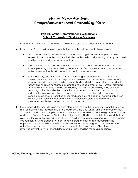### **Part 100 of the Commissioner's Regulations School Counseling/Guidance Programs**

- 1. Nonpublic schools. Each school district shall have a guidance program for all students.
- **a.** In grades 7-12, the guidance program shall include the following activities or services:
	- **i.** An annual review of each student's educational progress and career plans, with such reviews to be conducted with each student individually or with small groups by personnel certified or licensed as school counselors;
	- **ii.** Instruction at each grade level to help students learn about various careers and about career planning skills conducted by personnel certified or licensed as school counselors, or by classroom teachers in cooperation with school counselors;
	- **iii.** Other advisory and individual or group counseling assistance to enable students to benefit from the curriculum, to help students develop and implement postsecondary education and career plans, to help students who exhibit any attendance, academic, behavioral or adjustment problems and to encourage parental involvement, provided that advisory assistance shall be provided by teachers or counselors, or by certified teaching assistants under the supervision of counselors or teachers, and that such individual or group counseling assistance shall be provided by certified or licensed school counselors or by certified or licensed school psychologists or certified or licensed school social workers in cooperation with school counselors; and the services of personnel certified or licensed as school counselors.
- **b.** Each school district shall develop a district plan, which sets forth the manner in which the district shall comply with the requirements of this subdivision. The City School District of the City of New York shall submit a separate plan for each community school district, for the High School Division and for the Special Education Division. Such plan shall be filed in the district offices and shall be available for review by any individual. The plan shall present program objectives, which describe expectations of what students will learn from the program; activities to accomplish the objectives; specification of staff members and other resources assigned to accomplish the objectives; and provisions for the annual assessment of program results. The plan shall be reviewed annually by the school districts, and revisions shall be made as necessary.

*Office of Elementary, Middle, Secondary, and Continuing Education/Part 11/100.2a./2002/*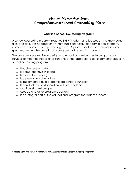### **What is a School Counseling Program?**

A school counseling program reaches EVERY student and focuses on the knowledge, skills, and attitudes needed for an individual's successful academic achievement, career development, and personal growth. A professional school counselor's time is spent maximizing the benefits of a program that serves ALL students.

The program is preventive in design and school counselors create programs and services to meet the needs of all students at the appropriate developmental stages. A school counseling program:

- o Reaches every student
- o Is comprehensive in scope
- o Is preventive in design
- o Is developmental in nature
- o Is implemented by a credentialed school counselor
- o Is conducted in collaboration with stakeholders
- o Monitors student progress
- o Uses data to drive program decisions
- o Is an integral part of the educational program for student success

*Adapted from The ASCA National Model: A Framework for School Counseling Programs*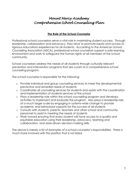### **The Role of the School Counselor**

Professional school counselors serve a vital role in maximizing student success. Through leadership, collaboration and advocacy, they strive to promote equity and access to rigorous educations experiences for all students. According to the American School Counseling Association (ASCA), professional school counselors support a safe learning environment and work to safeguard the human rights of all members of the school community.

School counselors address the needs of all students through culturally relevant prevention and intervention programs that are a part of a comprehensive school counseling program.

The school counselor is responsible for the following:

- o Provide individual and group counseling services to meet the developmental, preventive and remedial needs of students
- o Coordinates all counseling services for students and assists with the coordination and implementation of students services at the school
- o Plays a leadership role within the school counseling program and develops activities to implement and evaluate the program. Also plays a leadership role at a much larger scale by engaging in systems-wide change to provide academic and behavioral supports for the success of all students
- o Consults with students, parents, teachers and other school and community personnel to assist in meeting the needs of students
- o Work toward ensuring that every student will have access to a quality and equitable education using their leadership, advocacy, teaming and collaboration, and date-driven decision-making skills.

The above is merely a list of examples of a school counselor's responsibilities. There is much more involved with this position that is not listed.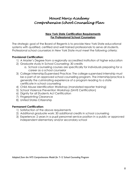### **New York State Certification Requirements For Professional School Counselors**

The strategic goal of the Board of Regents is to provide New York State educational systems with qualified, certified and well trained professionals to serve all students. Professional school counselors in New York State must meet the following criteria:

### **Provisional Certification:**

- 1) A Master's Degree from a regionally accredited institution of higher education
- 2) Graduate study in School Counseling: 30 credits
	- a. School counseling courses are specifically for individuals preparing for a career as a school counselor
- 3) College Internship/Supervised Practice: The college-supervised internship must be a part of an approved school counseling program. The internship/practice is generally the culminating experience of a program leading to a state certificate in school counseling
- 4) Child Abuse Identification Workshop (mandated reporter training)
- 5) School Violence Prevention Workshop (SAVE Certification)
- 6) Dignity for all Students Act Certification
- 7) Fingerprinting Clearance
- 8) United States Citizenship

### **Permanent Certification:**

- 1) Satisfaction of the above requirements
- 2) Additional graduate work: 30 additional credits in school counseling
- 3) Experience: 2 years in a pupil personnel service position in a public or approved independent elementary and/or secondary school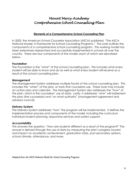### **Elements of a Comprehensive School Counseling Plan**

In 2003, the American School Counselor Association (ASCA) published, "The ASCA National Model: A Framework for School Counseling Programs." This work outlines the components of a comprehensive school counseling program. This working model has been extensively researched and successfully implemented in schools all over the country. There are four components of the model, each of which are described below.

### **Foundation**

The Foundation is the "what" of the school counseling plan. This includes what every student will be able to know and do as well as what every student will receive as a result of the school counseling plan.

### **Management**

The Management System addresses multiple facets of the school counseling plan. This includes the "when" of the plan, or tools that counselors use. These tools may include an action plan and calendar. The Management System also addresses the "how" of the plan, which is the counselors' use of data. Lastly, it addresses "who" will implement the plan (the counselors) and "on what authority" (management agreement and advisory council).

### **Delivery System**

The Delivery System addresses "how" the program will be implemented. It defines the implementation process and components of the model, including the curriculum, individual student planning, responsive services and system support.

### **Accountability**

This answers the question, "How are students different as a result of the program?" The answer is derived through the use of data by measuring the plan's progress toward and impact on academic achievement, graduation rates, post-secondary options, school climate, attendance, and more.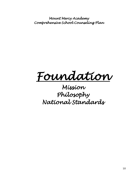*Foundation* 

# *Mission Philosophy National Standards*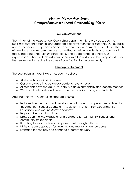### **Mission Statement**

The mission of the MMA School Counseling Department is to provide support to maximize student potential and academic achievement for all students. Our purpose is to foster academic, personal/social, and career development. It is our belief that this will lead to school success. We are committed to helping students attain personal goals, independence, self-understanding, and acceptance of others. Our expectation is that students will leave school with the abilities to take responsibility for themselves and to realize the value of contribution to the community.

### **Philosophy Statement**

The counselors at Mount Mercy Academy believe:

- o All students have intrinsic value
- o Our primary role is to be an advocate for every student
- o All students have the ability to learn in a developmentally appropriate manner
- o We should celebrate and draw upon the diversity among our students

And that the MMA Counseling Program should:

- o Be based on the goals and developmental student competencies outlined by the American School Counselor Association, the New York Department of Education, and Mount Mercy Academy
- o Be proactive and data driven
- o Draw upon the knowledge of and collaboration with family, school, and community stakeholders
- o Be willing to seek continuous improvement through self-assessment
- o Utilize a team approach for planning and management purposes
- o Embrace technology and enhance program delivery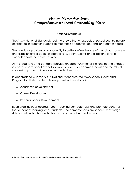### **National Standards**

The ASCA National Standards seeks to ensure that all aspects of school counseling are considered in order for students to meet their academic, personal and career needs.

The standards provides an opportunity to better define the role of the school counselor and establish similar goals, expectations, support systems and experiences for all students across the entire country.

At the local level, the standards provide an opportunity for all stakeholders to engage in conversations about expectations for students' academic success and the role of counseling programs in enhancing student learning.

In accordance with the ASCA National Standards, the MMA School Counseling Program facilitates student development in three domains:

- o Academic development
- o Career Development
- o Personal/Social Development

Each area includes desired student learning competencies and promote behavior that enhances learning for all students. The competencies are specific knowledge, skills and attitudes that students should obtain in the standard areas.

*Adapted from the American School Counselor Association National Model*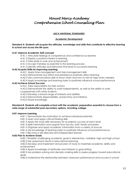### *ASCA NATIONAL STANDARDS*

### **Academic Development**

#### *Standard A: Students will acquire the attitudes, knowledge and skills that contribute to effective learning in school and across the life span.*

### **A:A1 Improve Academic Self-concept**

A:A1.1 Articulate feelings of competence and confidence as learners

A:A1.2 Display a positive interest in learning

A:A1.3 Take pride in work and achievement

A:A1.4 Accept mistakes as essential to the learning process

A:A1.5 Identify attitudes and behaviors that lead to successful learning

### **A:A2 Acquire Skills for Improving Learning**

A:A2.1 Apply time-management and task-management skills

A:A2.2 Demonstrate how effort and persistence positively affect learning

A:A2.3 Use communications skills to know when and how to ask for help when needed

A:A2.4 Apply knowledge and learning styles to positively influence school performance

### **A:A3 Achieve School Success**

A:A3.1 Take responsibility for their actions

A:A3.2 Demonstrate the ability to work independently, as well as the ability to work cooperatively with other students

A:A3.3 Develop a broad range of interests and abilities

A:A3.4 Demonstrate dependability, productivity and initiative

A:A3.5 Share knowledge

### *Standard B: Students will complete school with the academic preparation essential to choose from a wide range of substantial post-secondary options, including college.*

### **A:B1 Improve Learning**

A:B1.1 Demonstrate the motivation to achieve individual potential

A:B1.2 Learn and apply critical-thinking skills

A:B1.3 Apply the study skills necessary for academic success at each level

A:B1.4 Seek information and support from faculty, staff, family and peers

A:B1.5 Organize and apply academic information from a variety of sources

A:B1.6 Use knowledge of learning styles to positively influence school performance

A:B1.7 Become a self-directed and independent learner

### **A:B2 Plan to Achieve Goals**

A:B2.1 Establish challenging academic goals in elementary, middle/jr. high and high school A:B2.2 Use assessment results in educational planning

A:B2.3 Develop and implement annual plan of study to maximize academic ability and achievement

A:B2.4 Apply knowledge of aptitudes and interests to goal setting

A:B2.5 Use problem-solving and decision-making skills to assess progress toward educational goals

A:B2.6 Understand the relationship between classroom performance and success in school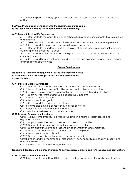A:B2.7 Identify post-secondary options consistent with interests, achievement, aptitude and abilities

#### *STANDARD C: Students will understand the relationship of academics to the world of work and to life at home and in the community.*

#### **A:C1 Relate School to Life Experiences**

A:C1.1 Demonstrate the ability to balance school, studies, extracurricular activities, leisure time and family life

A:C1.2 Seek co-curricular and community experiences to enhance the school experience

A:C1.3 Understand the relationship between learning and work

A:C1.4 Demonstrate an understanding of the value of lifelong learning as essential to seeking, obtaining and maintaining life goals

A:C1.5 Understand that school success is the preparation to make the transition from student to community member

A:C1.6 Understand how school success and academic achievement enhance future career and vocational opportunities

#### **Career Development**

#### *Standard A: Students will acquire the skills to investigate the world of work in relation to knowledge of self and to make informed career decisions.*

#### **C:A1 Develop Career Awareness**

C:A1.1 Develop skills to locate, evaluate and interpret career information

- C:A1.2 Learn about the variety of traditional and nontraditional occupations
- C:A1.3. Develop an awareness of personal abilities, skills, interests and motivations

C:A1.4 Learn how to interact and work cooperatively in teams

C:A1.5 Learn to make decisions

C:A1.6 Learn how to set goals

C:A1.7 Understand the importance of planning

C:A1.8 Pursue and develop competency in areas of interest

C:A1.9 Develop hobbies and vocational interests

C:A1.10 Balance between work and leisure time

#### **C:A2 Develop Employment Readiness**

C:A2.1 Acquire employability skills such as working on a team, problem solving and organizational skills

C:A2.2 Apply job readiness skills to seek employment opportunities

C:A2.3 Demonstrate knowledge about the changing workplace

C:A2.4 Learn about the rights and responsibilities of employers and employees

C:A2.5 Learn to respect individual uniqueness in the workplace

C:A2.6 Learn how to write a résumé

C:A2.7 Develop a positive attitude toward work and learning

C:A2.8 Understand the importance of responsibility, dependability, punctuality, integrity and effort in the workplace

C:A2.9 Utilize time- and task-management skills

#### *Standard B: Students will employ strategies to achieve future career goals with success and satisfaction.*

#### **C:B1 Acquire Career Information**

C:B1.1 Apply decision-making skills to career planning, course selection and career transition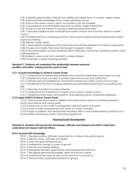C:B1.2 Identify personal skills, interests and abilities and relate them to current career choice

C:B1.3 Demonstrate knowledge of the career-planning process

C:B1.4 Know the various ways in which occupations can be classified

C:B1.5 Use research and information resources to obtain career information

C:B1.6 Learn to use the Internet to access career-planning information

C:B1.7 Describe traditional and nontraditional career choices and how they relate to career choice

C:B1.8 Understand how changing economic and societal needs influence employment trends and future training

C:B2 Identify Career Goals

C:B2.1 Demonstrate awareness of the education and training needed to achieve career goals C:B2.2 Assess and modify their educational plan to support career

C:B2.3 Use employability and job readiness skills in internship, mentoring, shadowing and/or other work experience

C:B2.4 Select course work that is related to career interests

C:B2.5 Maintain a career-planning portfolio

#### *Standard C: Students will understand the relationship between personal qualities, education, training and the world of work.*

#### **C:C1 Acquire Knowledge to Achieve Career Goals**

C:C1.1 Understand the relationship between educational achievement and career success

C:C1.2 Explain how work can help to achieve personal success and satisfaction

C:C1.3 Identify personal preferences and interests influencing career choice and success

C:C1.4 Understand that the changing workplace requires lifelong learning and acquiring new skills

C:C1.5 Describe the effect of work on lifestyle

C:C1.6 Understand the importance of equity and access in career choice

C:C1.7 Understand that work is an important and satisfying means of personal expression

### **C:C2 Apply Skills to Achieve Career Goals**

C:C2.1 Demonstrate how interests, abilities and achievement relate to achieving personal, social, educational and career goals

C:C2.2 Learn how to use conflict management skills with peers and adults

C:C2.3 Learn to work cooperatively with others as a team member

C:C2.4 Apply academic and employment readiness skills in work-based learning situations such as internships, shadowing and/or mentoring experiences

#### **Personal/Social Development**

#### *Standard A: Students will acquire the knowledge, attitudes and interpersonal skills to help them understand and respect self and others.*

#### **PS:A1 Acquire Self-knowledge**

PS:A1.1 Develop positive attitudes toward self as a unique and worthy person

PS:A1.2 Identify values, attitudes and beliefs

PS:A1.3 Learn the goal-setting process

PS:A1.4 Understand change is a part of growth

PS:A1.5 Identify and express feelings

PS:A1.6 Distinguish between appropriate and inappropriate behavior

PS:A1.7 Recognize personal boundaries, rights and privacy needs

PS:A1.8 Understand the need for self-control and how to practice it

PS:A1.9 Demonstrate cooperative behavior in groups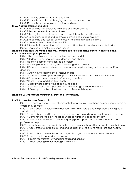PS:A1.10 Identify personal strengths and assets

PS:A1.11 Identify and discuss changing personal and social roles

PS:A1.12 Identify and recognize changing family roles

### **PS:A2 Acquire Interpersonal Skills**

PS:A2.1 Recognize that everyone has rights and responsibilities

PS:A2.2 Respect alternative points of view

PS:A2.3 Recognize, accept, respect and appreciate individual differences

PS:A2.4 Recognize, accept and appreciate ethnic and cultural diversity

PS:A2.5 Recognize and respect differences in various family configurations

PS:A2.6 Use effective communications skills

PS:A2.7 Know that communication involves speaking, listening and nonverbal behavior PS:A2.8 Learn how to make and keep friends

#### *Standard B: Students will make decisions, set goals and take necessary action to achieve goals.* **PS:B1 Self-knowledge Application**

PS:B1.1 Use a decision-making and problem-solving model

PS:B1.2 Understand consequences of decisions and choices

PS:B1.3 Identify alternative solutions to a problem

PS:B1.4 Develop effective coping skills for dealing with problems

PS:B1.5 Demonstrate when, where and how to seek help for solving problems and making decisions

PS:B1.6 Know how to apply conflict resolution skills

PS:B1.7 Demonstrate a respect and appreciation for individual and cultural differences

PS:B1.8 Know when peer pressure is influencing a decision

PS:B1.9 Identify long- and short-term goals

PS:B1.10 Identify alternative ways of achieving goals

PS:B1.11 Use persistence and perseverance in acquiring knowledge and skills

PS:B1.12 Develop an action plan to set and achieve realistic goals

### *Standard C: Students will understand safety and survival skills.*

#### **PS:C1 Acquire Personal Safety Skills**

PS:C1.1 Demonstrate knowledge of personal information (i.e., telephone number, home address, emergency contact)

PS:C1.2 Learn about the relationship between rules, laws, safety and the protection of rights of the individual

PS:C1.3 Learn about the differences between appropriate and inappropriate physical contact

PS:C1.4 Demonstrate the ability to set boundaries, rights and personal privacy

PS:C1.5 Differentiate between situations requiring peer support and situations requiring adult professional help

PS:C1.6 Identify resource people in the school and community, and know how to seek their help PS:C1.7 Apply effective problem-solving and decision-making skills to make safe and healthy choices

PS:C1.8 Learn about the emotional and physical dangers of substance use and abuse

PS:C1.9 Learn how to cope with peer pressure

PS:C1.10 Learn techniques for managing stress and conflict

PS:C1.11 Learn coping skills for managing life events

*Adapted from the American School Counseling Association Standards*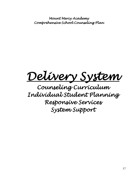*Delivery System* 

*Counseling Curriculum Individual Student Planning Responsive Services System Support*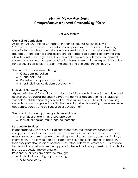### **Delivery System**

### **Counseling Curriculum**

As per the ASCA National Standards, the school counseling curriculum is, "Comprehensive in scope, preventative and proactive, developmental in design, coordinated by school counselors and delivered by school counselors and other educators." The activities and lessons are delivered to all students to promote skills, attitudes and knowledge in the three content domains: academic development, career development, and personal/social development. It is the responsibility of the school counselors to plan, design, implement and evaluate the curriculum.

The curriculum is delivered through:

- o Classroom instruction
- o Group activities
- o Parent workshops and instruction
- o Interdisciplinary curriculum development

### **Individual Student Planning**

Aligned with the ASCA National Standards, individual student planning entails school counselors, "coordinating ongoing systemic activities designed to help individual students establish personal goals and develop future plans." This includes assisting students plan, manage and monitor their learning all while meeting competencies in academic, career, and personal/social development.

The individual student planning is delivered through:

- o Individual and/or small group appraisal
- o Individual and/or small group advisement

### **Responsive Services**

In accordance with the ASCA National Standards, the responsive services are comprised of, "activities to meet students' immediate needs and concerns. These needs or concerns may require counseling, consultation, referral, peer facilitation, or information." This service can be initiated by a student's self-referral. In addition, teachers, parents/guardians or others may refer students for assistance. It is essential that school counselors have the support of other educational professionals in order to provide successful implementation.

Responsive services are delivered through:

- o Individual or small group counseling
- o Crisis counseling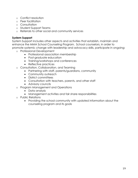- o Conflict resolution
- o Peer facilitation
- o Consultation
- o Student Support Teams
- o Referrals to other social and community services

### **System Support**

System Support includes other aspects and activities that establish, maintain and enhance the MMA School Counseling Program. School counselors, in order to promote systemic change with leadership and advocacy skills, participate in ongoing:

- o Professional Development
	- Professional association membership
	- Post-graduate education
	- Training/workshops and conferences
	- Reflective practices
- o Consultation, Collaboration, and Teaming
	- Partnering with staff, parents/guardians, community
	- Community outreach
	- District committees
	- Consultation with teachers, parents, and other staff
	- Advisory councils
- o Program Management and Operations
	- Data analysis
	- Management activities and fair share responsibilities
- o Public Relations
	- Providing the school community with updated information about the counseling program and its goals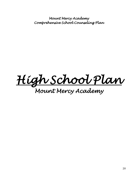*High School Plan* 

# *Mount Mercy Academy*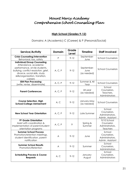### **High School (Grades 9-12)**

Domains: A (Academic) C (Career) & P (Personal/Social)

| Service/Activity                                                                                                                                                                                                      | <b>Domain</b> | Grade<br>Level | <b>Timeline</b>                   | <b>Staff Involved</b>                                        |
|-----------------------------------------------------------------------------------------------------------------------------------------------------------------------------------------------------------------------|---------------|----------------|-----------------------------------|--------------------------------------------------------------|
| <b>Crisis Counseling/Intervention</b><br>Behavioral, loss, safety                                                                                                                                                     | P             | $9 - 12$       | September-<br>June                | <b>School Counselors</b>                                     |
| <b>Individual/Group Counseling</b><br>Attendance, academic<br>performance, at-risk students,<br>bullying, conflict resolution, grief,<br>divorce, social skills, study<br>skills/organization, transition,<br>careers | A, C, P       | $9 - 12$       | September-<br>June<br>(as needed) | <b>School Counselors</b>                                     |
| <b>504 Plan Processing</b><br>(write, revise, disseminate)                                                                                                                                                            | A, C, P       | $9 - 12$       | Summer & All<br>Year              | <b>School Counselors</b>                                     |
| <b>Parent Conferences</b>                                                                                                                                                                                             | A, C, P       | $9 - 12$       | All year<br>(as needed)           | School<br>Counselors,<br>Teachers,<br>Administrators         |
| <b>Course Selection, High</b><br><b>School/College Advisement</b>                                                                                                                                                     | A, C          | $9 - 12$       | January-May<br>(as needed)        | <b>School Counselors</b>                                     |
| <b>New School Year Orientation</b>                                                                                                                                                                                    | A, C, P       | $9 - 12$       | Late Summer                       | School<br>Counselors,<br>Administrators,<br>Admin. Assistant |
| 9th Grade Orientation<br>Assist with coordination &<br>implementation of parent/student<br>orientation programs                                                                                                       | A, C, P       | 9              | Spring &<br>Summer                | 9/10 School<br>Counselor,<br>Administrators,<br>Teachers     |
| <b>Summer School Process</b><br>Promotion/retention meetings,<br>student identification, parent<br>notification                                                                                                       | A             | $9 - 12$       | June                              | School<br>Counselors,<br>Administrators,<br>Admin. Assistant |
| <b>Summer School Results</b><br>Promotion/Retention                                                                                                                                                                   | A             | $9 - 12$       | Summer                            | School<br>Counselors,<br>Administrators                      |
| <b>Scheduling Process &amp; Course</b><br><b>Requests</b>                                                                                                                                                             | A, C          | $9 - 12$       | January-<br>August                | School<br>Counselors,<br>Administrators                      |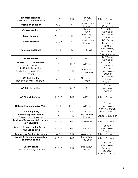| <b>Program Planning</b><br>Assessment of 4-year Plan                     | A, C    | $9 - 12$  | January-<br>February   | <b>School Counselors</b>                                             |
|--------------------------------------------------------------------------|---------|-----------|------------------------|----------------------------------------------------------------------|
| <b>Freshman Seminar</b>                                                  | A, C    | 9         | September -<br>January | 9/10 School<br>Counselor                                             |
| <b>Career Seminar</b>                                                    | A, C    | 9         | February -<br>June     | 9/10 School<br>Counselor                                             |
| <b>Junior Seminar</b>                                                    | A, C, P | 11        | February -<br>June     | 11/12 School<br>Counselor                                            |
| <b>Senior Seminar</b>                                                    | A, C, P | 12        | September -<br>January | 11/12 School<br>Counselor                                            |
| <b>Financial Aid Night</b>                                               | A, C    | 12        | Early fall             | School<br>Counselors,<br><b>Financial Aid</b><br>Representative      |
| <b>Senior Profile</b>                                                    | A, C    | 12        | May                    | 11/12 School<br>Counselor                                            |
| <b>ACT/SAT SSD Coordination</b><br>504/IEP Students                      | A       | $10 - 12$ | All Year               | 9/10 School<br>Counselor                                             |
| <b>PSAT Administration</b><br>Distribution, Interpretation of<br>results | A       | $9 - 11$  | October,<br>November   | School<br>Counselors,<br>Teachers                                    |
| <b>SAT Test Center</b><br>November, May Test Dates                       | A, C    | 11, 12    | November,<br>May       | 11/12 School<br>Counselor,<br>Teachers                               |
| <b>AP Administration</b>                                                 | A, C    | $10 - 12$ | May                    | School<br>Counselors,<br>Teachers                                    |
| <b>ACCES-VR Referrals</b>                                                | A, C, P | $9 - 12$  | All Year               | <b>School Counselors</b>                                             |
| <b>College Representative Visits</b>                                     | A, C    | 11, 12    | All Year               | School<br>Counselors,<br>Admin. Assistant                            |
| <b>NCAA Eligibility</b>                                                  | A       | $9 - 12$  | All Year               | <b>School Counselors</b>                                             |
| <b>Scheduling Adjustments</b><br>(balancing of classes)                  | A       | $9 - 12$  | September,<br>January  | <b>School Counselors</b>                                             |
| <b>Review of Transcripts &amp; Schedule</b><br><b>New Students</b>       | A, C, P | $9 - 12$  | As needed              | <b>School Counselors</b>                                             |
| <b>Academic Intervention Services</b><br>(AIS) Scheduling                | A, C, P | $9 - 12$  | All Year               | School<br>Counselors,<br>Teachers                                    |
| <b>Referrals to Outside Agencies</b>                                     | A, P    | $9 - 12$  | As needed              | <b>School Counselors</b>                                             |
| <b>Create &amp; maintain counseling</b><br>center webpage                | A, C, P | $9 - 12$  | Throughout<br>the year | <b>School Counselors</b>                                             |
| <b>CSE Meetings</b><br>Coordination/Organization                         | A, C, P | $9 - 12$  | Throughout<br>the year | School<br>Counselors,<br>Teachers,<br>Student,<br>Parents, CSE Chair |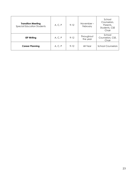| <b>Transition Meeting</b><br><b>Special Education Students</b> | A, C, P | $9 - 12$ | November-<br>February  | School<br>Counselors,<br>Parents,<br>Students, CSE<br>Chair |
|----------------------------------------------------------------|---------|----------|------------------------|-------------------------------------------------------------|
| <b>IEP Writing</b>                                             | A, C, P | $9 - 12$ | Throughout<br>the year | School<br>Counselors, CSE,<br>Chair                         |
| <b>Career Planning</b>                                         | A, C, P | $9 - 12$ | All Year               | <b>School Counselors</b>                                    |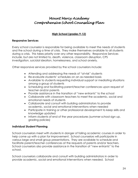### **High School (grades 9-12)**

### **Responsive Services**

Every school counselor is responsible for being available to meet the needs of students and the school during a time of crisis. They make themselves available to all students during a crisis. This takes priority over any other responsibility. Responsive Services include, but are not limited to, death, violence, classroom disruption, CPS investigation, suicidal ideation, homelessness, and school anxiety.

Other responsive services provided by the school counselors include:

- Attending and addressing the needs of "at-risk" students
- Re-evaluate students' schedules on an as-needed basis
- Available to students requesting individual support or mediating situations among a group of students
- Scheduling and facilitating parent/teacher conferences upon request of teacher and/or parents
- Provide assistance in the transition of "new entrants" to the school
- Collaborate with classroom teachers to meet the academic, social and emotional needs of students
- Collaborate and consult with building administrators to provide academic, social and emotional interventions when needed
- Participate in training or other professional development to keep skills and knowledge updated
- Inform students of end of the year procedures (summer school sign up, grading policies)

### **Individual Student Planning**

School counselors meet with students in danger of failing academic courses in order to help come up with a plan for improvement. School counselors will participate in various large and small group presentations. They are available to schedule and facilitate parent/teacher conferences at the requests of parents and/or teachers. School counselors also provide assistance in the transition of "new entrants" to the school.

School counselors collaborate and consult with building administrators in order to provide academic, social and emotional interventions when needed. School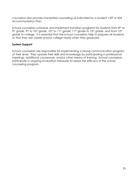counselors also provide mandated counseling as indicated by a student's IEP or 504 Accommodation Plan.

School counselors schedule and implement transition programs for students from 8<sup>th</sup> to 9th grade, 9th to 10th grade, 10th to 11th grade, 11th grade to 12th grade, and from 12th grade to college. It is essential that the school counselors help to prepare all students so that they are career and/or college ready when they graduate.

### **System Support**

School counselors are responsible for implementing a strong communication program at their level. They update their skills and knowledge by participating in professional meetings, additional coursework, and/or other means of training. School counselors participate in ongoing evaluative measures to assess the efficacy of the school counseling program.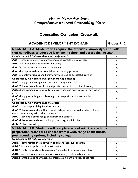## **Counseling Curriculum Crosswalk**

| <b>ACADEMIC DEVELOPMENT DOMAIN</b>                                                                                                                                                 | Grades 9-12 |
|------------------------------------------------------------------------------------------------------------------------------------------------------------------------------------|-------------|
| <b>STANDARD A: Students will acquire the attitudes, knowledge, and skills</b>                                                                                                      |             |
| that contribute to effective learning in school and across the life span.                                                                                                          |             |
| Competency AI Improve Academic Self-concept                                                                                                                                        | X.          |
| A:AI.I articulate feelings of competence and confidence as learners                                                                                                                | X.          |
| A:AI.2 display a positive interest in learning                                                                                                                                     | X.          |
| A:AI.3 take pride in work and achievement                                                                                                                                          | X.          |
| A:AI.4 accept mistakes as essential to the learning process                                                                                                                        | X.          |
| A:A1.5 identify attitudes and behaviors which lead to successful learning                                                                                                          | X.          |
| <b>Competency A2 Acquire Skills for Improving Learning</b>                                                                                                                         |             |
| A:A2.1 apply time management and task management skills                                                                                                                            | X.          |
| A:A2.2 demonstrate how effort and persistence positively affect learning                                                                                                           | X.          |
| A:A2.3 use communications skills to know when and how to ask for help when<br>needed                                                                                               | X           |
| A:A2.4 apply knowledge and learning styles to positively influence school<br>performance                                                                                           | X           |
| <b>Competency A3 Achieve School Success</b>                                                                                                                                        |             |
| A:A3.1 take responsibility for their actions                                                                                                                                       | X.          |
| A:A3.2 demonstrate the ability to work independently, as well as the ability to<br>work cooperatively with other students                                                          | X           |
| A:A3.3 develop a broad range of interest and abilities                                                                                                                             | X.          |
| A:A3.4 demonstrate dependability, productivity, and initiative                                                                                                                     | X.          |
| A: A3.5 share knowledge                                                                                                                                                            | X.          |
| <b>STANDARD B: Students will complete school with the academic</b><br>preparation essential to choose from a wide range of substantial<br>postsecondary options, including college |             |
| <b>Competency BI Improve Learning</b>                                                                                                                                              |             |
| A:B1.1 demonstrate the motivation to achieve individual potential                                                                                                                  | X           |
| A:B I.2 learn and apply critical thinking skills                                                                                                                                   | X           |
| A:B1.3 apply the study skills necessary for academic success at each level                                                                                                         | X           |
| A:B1.4 seek information and support from faculty, staff, family, and peers                                                                                                         | X.          |
| A:B1.5 organize and apply academic information from a variety of sources                                                                                                           | X           |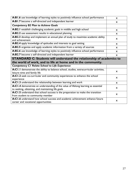| A:B1.6 use knowledge of learning styles to positively influence school performance                                                      | X            |
|-----------------------------------------------------------------------------------------------------------------------------------------|--------------|
| A:B1.7 become a self-directed and independent learner                                                                                   | X.           |
| <b>Competency B2 Plan to Achieve Goals</b>                                                                                              |              |
| A:B2.I establish challenging academic goals in middle and high school                                                                   | X            |
| A:B2.2 use assessment results in educational planning                                                                                   | X.           |
| A:B2.3 develop and implement an annual plan of study to maximize academic ability<br>and achievement                                    | X            |
| A:B2.4 apply knowledge of aptitudes and interests to goal setting                                                                       | X            |
| A:B2.5 organize and apply academic information from a variety of sources                                                                | X            |
| A:B2.6 use knowledge of learning styles to positively influence school performance                                                      | X            |
| A:B2.7 become a self-directed and independent learner                                                                                   | $\mathsf{x}$ |
| <b>STANDARD C: Students will understand the relationship of academics to</b>                                                            |              |
|                                                                                                                                         |              |
| the world of work, and to life at home and in the community.                                                                            |              |
| <b>Competency CI Relate School to Life Experience</b>                                                                                   |              |
| A:C1.1 demonstrate the ability to balance school, studies, extracurricular activities,<br>leisure time and family life                  | X            |
| A:C1.2 seek co-curricular and community experiences to enhance the school<br>experience                                                 | X            |
| A:C1.3 understand the relationship between learning and work                                                                            | X            |
| A:C1.4 demonstrate an understanding of the value of lifelong learning as essential<br>to seeking, obtaining, and maintaining life goals | X            |
| A:C1.5 understand that school success is the preparation to make the transition<br>from student to community member                     | X            |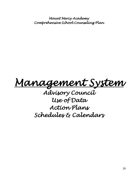*Management System* 

*Advisory Council Use of Data Action Plans Schedules & Calendars*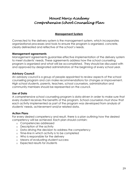### **Management System**

Connected to the delivery system is the management system, which incorporates organizational processes and tools to ensure the program is organized, concrete, clearly delineated and reflective of the school's needs.

### **Management agreements**

Management agreements guarantee effective implementation of the delivery system to meet students' needs. These agreements address how the school counseling program is organized and what will be accomplished. They should be discussed with and approved by designated administrators at the beginning of every school year.

### **Advisory Council**

An advisory council is a group of people appointed to review aspects of the school counseling program and can make recommendations for changes or improvement. High school students, parents, teachers, school counselors, administration and community members should be represented on the council.

### **Use of Data**

A comprehensive school counseling program is data-driven in order to make sure that every student receives the benefits of the program. School counselors must show that each activity implemented as part of the program was developed from analysis of students' needs, achievement and/or related data.

### **Action Plans**

For every desired competency and result, there is a plan outlining how the desired competency will be achieved. Each plan should contain:

- o Competencies addressed
- o Description of the activity
- o Data driving the decision to address the competency
- o Time-line in which activity is to be completed
- o Who is responsible for the delivery
- o Means of evaluating student success
- o Expected results for students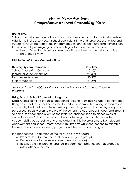### **Use of Time**

School counselors recognize the value of direct service, or contact, with students in addition to indirect service. A school counselor's time and resources are limited and therefore should be protected. Program delivery and direct counseling services can be increased by reassigning non-counseling activities whenever possible.

o Use of Calendars: Monthly calendars will be utilized by counselors to guide program delivery.

### **Distribution of School Counselor Time**

| <b>Delivery System Component</b>    | % of time |
|-------------------------------------|-----------|
| <b>School Counseling Curriculum</b> | 10-20%    |
| Individual Student Planning         | 25-30%    |
| Responsive Services                 | 40-50%    |
| System Support                      | 20-25%    |

*Adapted from The ASCA National Model: A Framework for School Counseling Programs*

### **Using Data in School Counseling Programs**

Data informs, confirms progress, and can reveal shortcomings in student performance. Using data enables school counselors to work in tandem with building administrators and faculty to close the achievement gap through systemic change. By using data, school counselors present a picture of the current status of student needs and issues. In so doing, they can then examine the practices that can lead to higher levels of student success. School counselors will evaluate programs and demonstrate accountability by collecting and using data that link the programs to both student achievement and school improvement. This process will strengthen the relationship between the school counseling program and the instructional program.

It is important to use all three of the following types of data:

- o Process data (i.e. number of students in a given group)
- o Perception data (i.e. needs assessments or surveys)
- o Results data (i.e. proof of change in student competency such as graduation rates, attendance, etc.)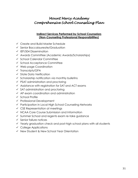### **Indirect Services Performed by School Counselors (Non-Counseling Professional Responsibilities)**

- Create and Build Master Schedule
- $\checkmark$  Senior Baccalaureate/Graduation
- $\checkmark$  IEP/504 Dissemination
- Awards Committee (Academic Awards/Scholarships)
- $\checkmark$  School Calendar Committee
- $\checkmark$  School Acceptance Committee
- $\checkmark$  Web page Coordination
- $\checkmark$  Transcripts/GPA
- $\checkmark$  State Data Verification
- $\checkmark$  Scholarship notification via monthly bulletins
- $\checkmark$  PSAT administration and proctoring
- $\checkmark$  Assistance with registration for SAT and ACT exams
- $\checkmark$  SAT administration and proctoring
- $\checkmark$  AP exam coordination and administration
- $\checkmark$  School Profile
- $\checkmark$  Professional Development
- $\checkmark$  Participation in Local High School Counseling Networks
- $\checkmark$  CSE Representation at meetings
- $\checkmark$  NCAA Core Course Submission and Information
- Summer School and regents exam re-take guidance
- $\checkmark$  Senior failure notices
- $\checkmark$  Yearly graduation check and post-high school plans with all students
- $\checkmark$  College Applications
- $\checkmark$  New Student & New School Year Orientation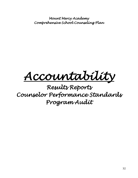*Accountability* 

*Results Reports Counselor Performance Standards Program Audit*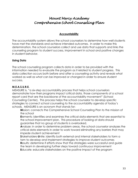### **Accountability**

The accountability system allows the school counselors to determine how well students have met the standards and achieve intended outcomes. In order to make this determination, the school counselors collect and use data that supports and links the counseling program to student success, improvement in school and positive changes in student behavior.

### **Using Data**

The school counseling program collects data in order to be provided with the information needed to evaluate the program as it related to student progress. This data collection occurs both before and after a counseling activity and reveals what worked as well as what can be improved or changed in order to ensure student success.

### **M.E.A.S.U.R.E.**

MEASURE is, "a six-step accountability process that helps school counselors demonstrate how their programs impact critical data, those components of a school report card that are the backbone of the accountability movement" (School Counseling Center). This process helps the school counselor to develop specific strategies to connect school counseling to the accountability agenda of today's schools. MEASURE is an acronym that stands for:

**M**ission: connects the Comprehensive School Counseling Plan to the mission of the school

**E**lements: identifies and examines the critical data elements that are essential to the school improvement plan. This procedure of looking at data should guarantee that no group of students is overlooked.

**A**nalyze: in order to determine problem areas, the school counselor analyzes the critical data elements in order to work toward eliminating any barriers that may impede student achievement

**S**takeholders-**U**nite: identify both external and internal stakeholders to form a tam to develop and implement strategies to improve student outcomes **R**esults: determine if efforts show that the strategies were successful and guide the team in developing further steps toward continuous improvement **E**ducate: educate stakeholders on the positive impact of the program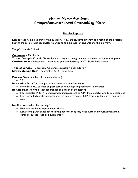### **Results Reports**

Results Reports help to answer the question, "How are students different as a result of the program?" Sharing the results with stakeholders serves as an advocate for students and the program.

### *Sample Results Report*

**Counselor** – Mr. Smith

**Target Group** – 9<sup>th</sup> grade (26 students in danger of being retained at the end of the school year) **Curriculum and Materials** – Promotion guidance lessons; "XYZ" Study Skills Videos

**Type of Service** – Classroom Guidance counseling; peer tutoring **Start Date/End Date** – September 2014 – June 2015

**Process Data** (number of students affected)

o 26

**Perception Data** (test competency attainment or student data)

o Immediate 99% correct on post-test of knowledge of promotion information

**Results Data** (how the students changed as a result of the lesson)

- o Intermediate: 14 (54%) demonstrated improvement on GPA from quarter one to semester one
- $\circ$  Long-term: 86% of the students showed improvement in GPA from quarter one to semester two

**Implications** (what the data says)

- o Excellent academic improvement shown
- o Long-term: participants not receiving peer tutoring may need further encouragement from other resources (such as adult mentors)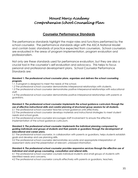### **Counselor Performance Standards**

The performance standards highlight the major roles and functions performed by the school counselor. The performance standards align with the ASCA National Model and contain basic standards of practice expected from counselors. School counselors are evaluated in the areas of program implementation, program evaluation and professionalism.

Not only are these standards used for performance evaluation, but they are also a crucial tool in the counselor's self-evaluation and advocacy. This helps to focus personal and professional development plans. School Counselor Performance Standards are:

### *Standard 1: The professional school counselor plans, organizes and delivers the school counseling program.*

1.1 A program is designed to meet the needs of the school.

1.2 The professional school counselor demonstrates interpersonal relationships with students.

1.3 The professional school counselor demonstrates positive interpersonal relationships with educational staff.

1.4 The professional school counselor demonstrates positive interpersonal relationships with parents or guardians.

### *Standard 2: The professional school counselor implements the school guidance curriculum through the use of effective instructional skills and careful planning of structured group sessions for all students.*

2.1 The professional school counselor teaches school guidance units effectively. 2.2 The professional school counselor develops materials and instructional strategies to meet student needs and school goals.

2.3 The professional school counselor encourages staff involvement to ensure the effective implementation of the school guidance curriculum.

#### *Standard 3: The professional school counselor implements the individual planning component by guiding individuals and groups of students and their parents or guardians through the development of educational and career plans.*

3.1 The professional school counselor, in collaboration with parents or guardians, helps students establish goals and develop and use planning skills.

3.2 The professional school counselor demonstrates accurate and appropriate interpretation of assessment data and the presentation of relevant, unbiased information.

### *Standard 4: The professional school counselor provides responsive services through the effective use of individual and small-group counseling, consultation and referral skills.*

4.1 The professional school counselor counsels individual students and small groups of students with identified needs and concerns.

4.2 The professional school counselor consults effectively with parents or guardians, teachers,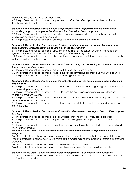administrators and other relevant individuals.

4.3 The professional school counselor implements an effective referral process with administrators, teachers and other school personnel.

#### *Standard 5: The professional school counselor provides system support through effective school counseling program management and support for other educational programs.*

5.1 The professional school counselor provides a comprehensive and balanced school counseling program in collaboration with school staff.

5.2 The professional school counselor provides support for other school programs.

#### *Standard 6: The professional school counselor discusses the counseling department management system and the program action plans with the school administrator.*

6.1 The professional school counselor discusses the qualities of the school counselor management system with the other members of the counseling staff and has agreement.

6.2 The professional school counselor discusses the program results anticipated when implementing the action plans for the school year.

### *Standard 7: The school counselor is responsible for establishing and convening an advisory council for the school counseling program.*

7.1 The professional school counselor meets with the advisory committee.

7.2 The professional school counselor reviews the school counseling program audit with the council.

7.3 The professional school counselor records meeting information.

### *Standard 8: The professional school counselor collects and analyzes data to guide program direction and emphasis.*

8.1 The professional school counselor uses school data to make decisions regarding student choice of classes and special programs.

8.2 The professional school counselor uses data from the counseling program to make decisions regarding program revisions.

8.3 The professional school counselor analyzes data to ensure every student has equity and access to a rigorous academic curriculum.

8.4 The professional school counselor understands and uses data to establish goals and activities to close the gap.

#### *Standard 9: The professional school counselor monitors the students on a regular basis as they progress in school.*

9.1 The professional school counselor is accountable for monitoring every student's progress.

9.2 The professional school counselor implements monitoring systems appropriate to the individual school.

9.3 The professional school counselors develop appropriate interventions for students as needed and monitor their progress.

#### *Standard 10: The professional school counselor uses time and calendars to implement an efficient program.*

10.1 The professional school counselor uses a master calendar to plan activities throughout the year. 10.2 The professional school counselor distributes the master calendar to parents or guardians, staff and students.

10.3 The professional school counselor posts a weekly or monthly calendar.

10.4 The professional school counselor analyzes time spent providing direct service to students.

### *Standard 11: The professional school counselor develops a results evaluation for the program.*

11.1 The professional school counselor measures results attained from school guidance curriculum and closing the gap activities.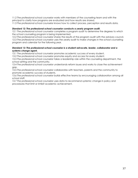11.2 The professional school counselor works with members of the counseling team and with the principal to clarify how programs are evaluated and how results are shared.

11.3 The professional school counselor knows how to collect process, perception and results data.

#### *Standard 12: The professional school counselor conducts a yearly program audit.*

12.1 The professional school counselor completes a program audit to determine the degrees to which the school counseling program is being implemented.

12.2 The professional school counselor shares the results of the program audit with the advisory council. 12.3 The professional school counselor uses the yearly audit to make changes in the school counseling program and calendar for the following year.

#### *Standard 13: The professional school counselor is a student advocate, leader, collaborator and a systems change agent.*

13.1 The professional school counselor promotes academic success of every student.

13.2 The professional school counselor promotes equity and access for every student.

13.3 The professional school counselor takes a leadership role within the counseling department, the school setting and the community.

13.4 The professional school counselor understands reform issues and works to close the achievement gap.

13.5 The professional school counselor collaborates with teachers, parents and the community to promote academic success of students.

13.6 The professional school counselor builds effective teams by encouraging collaboration among all school staff.

13.7 The professional school counselor uses data to recommend systemic change in policy and procedures that limit or inhibit academic achievement.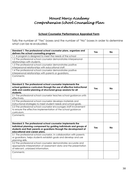### **School Counselor Performance Appraisal Form**

Tally the number of "Yes" boxes and the number of "No" boxes in order to determine what can be re-evaluated.

| Standard 1: The professional school counselor plans, organizes and<br>delivers the school counseling program                                                                                                                              | Yes | No |
|-------------------------------------------------------------------------------------------------------------------------------------------------------------------------------------------------------------------------------------------|-----|----|
| 1.1 A program is designed to meet the needs of the school                                                                                                                                                                                 |     |    |
| 1.2 The professional school counselor demonstrates interpersonal                                                                                                                                                                          |     |    |
| relationships with students.                                                                                                                                                                                                              |     |    |
| 1.3 The professional school counselor demonstrates positive                                                                                                                                                                               |     |    |
| interpersonal relationships with educational staff.                                                                                                                                                                                       |     |    |
| 1.4 The professional school counselor demonstrates positive                                                                                                                                                                               |     |    |
| interpersonal relationships with parents or guardians.                                                                                                                                                                                    |     |    |
| Comments:                                                                                                                                                                                                                                 |     |    |
| Standard 2: The professional school counselor implements the<br>school guidance curriculum through the use of effective instructional<br>skills and careful planning of structured group sessions for all<br>students.                    | Yes | No |
| 2.1 The professional school counselor teaches school guidance units                                                                                                                                                                       |     |    |
| effectively.                                                                                                                                                                                                                              |     |    |
| 2.2 The professional school counselor develops materials and                                                                                                                                                                              |     |    |
| instructional strategies to meet student needs and school goals.                                                                                                                                                                          |     |    |
| 2.3 The professional school counselor encourages staff involvement                                                                                                                                                                        |     |    |
| to ensure the effective implementation of the school guidance                                                                                                                                                                             |     |    |
| curriculum.                                                                                                                                                                                                                               |     |    |
| Comments:                                                                                                                                                                                                                                 |     |    |
| Standard 3: The professional school counselor implements the<br>individual planning component by guiding individuals and groups of<br>students and their parents or guardians through the development of<br>educational and career plans. | Yes | No |
| 3.1 The professional school counselor, in collaboration with parents<br>or guardians, helps students establish goals and develop and use                                                                                                  |     |    |
| planning skills.                                                                                                                                                                                                                          |     |    |
| 3.2 The professional school counselor demonstrates accurate and<br>appropriate interpretation of assessment data and the presentation<br>of relevant, unbiased information.                                                               |     |    |
| Comments:                                                                                                                                                                                                                                 |     |    |
|                                                                                                                                                                                                                                           |     |    |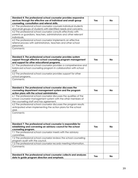| Standard 4: The professional school counselor provides responsive                                      |     |           |
|--------------------------------------------------------------------------------------------------------|-----|-----------|
| services through the effective use of individual and small-group                                       | Yes | <b>No</b> |
| counseling, consultation and referral skills.                                                          |     |           |
| 4.1 The professional school counselor counsels individual students                                     |     |           |
| and small groups of students with identified needs and concerns.                                       |     |           |
| 4.2 The professional school counselor consults effectively with                                        |     |           |
| parents or guardians, teachers, administrators and other relevant                                      |     |           |
| individuals.                                                                                           |     |           |
| 4.3 The professional school counselor implements an effective                                          |     |           |
| referral process with administrators, teachers and other school                                        |     |           |
| personnel.                                                                                             |     |           |
| Comments:                                                                                              |     |           |
|                                                                                                        |     |           |
|                                                                                                        |     |           |
| Standard 5: The professional school counselor provides system                                          |     |           |
| support through effective school counseling program management                                         | Yes | <b>No</b> |
| and support for other educational programs.                                                            |     |           |
| 5.1 The professional school counselor provides a comprehensive and                                     |     |           |
| balanced school counseling program in collaboration with school                                        |     |           |
| staff.                                                                                                 |     |           |
| 5.2 The professional school counselor provides support for other                                       |     |           |
| school programs.                                                                                       |     |           |
| Comments:                                                                                              |     |           |
|                                                                                                        |     |           |
|                                                                                                        |     |           |
| Standard 6: The professional school counselor discusses the                                            |     |           |
| counseling department management system and the program<br>action plans with the school administrator. | Yes | <b>No</b> |
| 6.1 The professional school counselor discusses the qualities of the                                   |     |           |
| school counselor management system with the other members of                                           |     |           |
| the counseling staff and has agreement.                                                                |     |           |
| 6.2 The professional school counselor discusses the program results                                    |     |           |
| anticipated when implementing the action plans for the school                                          |     |           |
| year.                                                                                                  |     |           |
| Comments:                                                                                              |     |           |
|                                                                                                        |     |           |
|                                                                                                        |     |           |
|                                                                                                        |     |           |
| Standard 7: The professional school counselor is responsible for                                       |     |           |
| establishing and convening an advisory council for the school                                          | Yes | <b>No</b> |
| counseling program.                                                                                    |     |           |
| 7.1 The professional school counselor meets with the advisory                                          |     |           |
| committee.                                                                                             |     |           |
| 7.2 The professional school counselor reviews the school counseling                                    |     |           |
| program audit with the council.                                                                        |     |           |
| 7.3 The professional school counselor records meeting information.                                     |     |           |
| Comments:                                                                                              |     |           |
|                                                                                                        |     |           |
|                                                                                                        |     |           |
| Standard 8: The professional school counselor collects and analyzes                                    | Yes | <b>No</b> |
| data to guide program direction and emphasis.                                                          |     |           |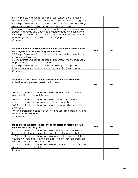| 8.1 The professional school counselor uses school data to make       |     |    |
|----------------------------------------------------------------------|-----|----|
| decisions regarding student choice of classes and special programs.  |     |    |
| 8.2 The professional school counselor uses data from the counseling  |     |    |
| program to make decisions regarding program revisions.               |     |    |
| 8.3 The professional school counselor analyzes data to ensure every  |     |    |
| student has equity and access to a rigorous academic curriculum.     |     |    |
| 8.4 The professional school counselor understands and uses data to   |     |    |
| establish goals and activities to close the gap.                     |     |    |
| Comments:                                                            |     |    |
|                                                                      |     |    |
|                                                                      |     |    |
| Standard 9: The professional school counselor monitors the students  |     |    |
| on a regular basis as they progress in school.                       | Yes | No |
| 9.1 The professional school counselor is accountable for monitoring  |     |    |
| every student's progress.                                            |     |    |
| 9.2 The professional school counselor implements monitoring systems  |     |    |
| appropriate to the individual school.                                |     |    |
| 9.3 The professional school counselors develop appropriate           |     |    |
| interventions for students as needed and monitor their progress.     |     |    |
| Comments:                                                            |     |    |
|                                                                      |     |    |
|                                                                      |     |    |
| Standard 10: The professional school counselor uses time and         |     |    |
| calendars to implement an efficient program.                         |     |    |
|                                                                      | Yes | No |
|                                                                      |     |    |
| 10.1 The professional school counselor uses a master calendar to     |     |    |
| plan activities throughout the year.                                 |     |    |
|                                                                      |     |    |
| 10.2 The professional school counselor distributes the master        |     |    |
| calendar to parents or guardians, staff and students.                |     |    |
| 10.3 The professional school counselor posts a weekly or monthly     |     |    |
| calendar.                                                            |     |    |
| 10.4 The professional school counselor analyzes time spent providing |     |    |
| direct service to students.                                          |     |    |
| Comments:                                                            |     |    |
|                                                                      |     |    |
|                                                                      |     |    |
| Standard 11: The professional school counselor develops a results    | Yes | No |
| evaluation for the program.                                          |     |    |
| 11.1 The professional school counselor measures results attained     |     |    |
| from school guidance curriculum and closing the gap activities.      |     |    |
| 11.2 The professional school counselor works with members of the     |     |    |
|                                                                      |     |    |
| counseling team and with the principal to clarify how programs are   |     |    |
| evaluated and how results are shared.                                |     |    |
| 11.3 The professional school counselor knows how to collect process, |     |    |
| perception and results data.                                         |     |    |
| Comments:                                                            |     |    |
|                                                                      |     |    |
|                                                                      |     |    |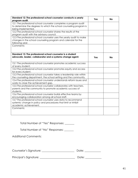| Standard 12: The professional school counselor conducts a yearly<br>program audit. | Yes | <b>No</b> |
|------------------------------------------------------------------------------------|-----|-----------|
| 12.1 The professional school counselor completes a program audit                   |     |           |
| to determine the degrees to which the school counseling program is                 |     |           |
| being implemented.                                                                 |     |           |
| 12.2 The professional school counselor shares the results of the                   |     |           |
| program audit with the advisory council.                                           |     |           |
| 12.3 The professional school counselor uses the yearly audit to make               |     |           |
| changes in the school counseling program and calendar for the                      |     |           |
| following year.                                                                    |     |           |
| Comments:                                                                          |     |           |
|                                                                                    |     |           |
|                                                                                    |     |           |
| Standard 13: The professional school counselor is a student                        |     |           |
| advocate, leader, collaborator and a systems change agent.                         | Yes | <b>No</b> |
|                                                                                    |     |           |
| 13.1 The professional school counselor promotes academic success                   |     |           |
| of every student.                                                                  |     |           |
| 13.2 The professional school counselor promotes equity and access                  |     |           |
| for every student.                                                                 |     |           |
| 13.3 The professional school counselor takes a leadership role within              |     |           |
| the counseling department, the school setting and the community.                   |     |           |
| 13.4 The professional school counselor understands reform issues and               |     |           |
| works to close the achievement gap.                                                |     |           |
| 13.5 The professional school counselor collaborates with teachers,                 |     |           |
| parents and the community to promote academic success of                           |     |           |
| students.                                                                          |     |           |
| 13.6 The professional school counselor builds effective teams by                   |     |           |
| encouraging collaboration among all school staff.                                  |     |           |
| 13.7 The professional school counselor uses data to recommend                      |     |           |
| systemic change in policy and procedures that limit or inhibit                     |     |           |
| academic achievement.                                                              |     |           |
| Comments:                                                                          |     |           |
|                                                                                    |     |           |
|                                                                                    |     |           |

Total Number of "Yes" Responses: \_\_\_\_\_\_\_

Total Number of "No" Responses: \_\_\_\_\_\_\_

Additional Comments:

| Counselor's Signature: | Date: |
|------------------------|-------|
|------------------------|-------|

Principal's Signature: \_\_\_\_\_\_\_\_\_\_\_\_\_\_\_\_\_\_\_\_\_\_\_\_\_\_ Date: \_\_\_\_\_\_\_\_\_\_\_\_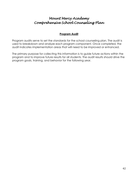### **Program Audit**

Program audits serve to set the standards for the school counseling plan. The audit is used to breakdown and analyze each program component. Once completed, the audit indicates implementation areas that will need to be improved or enhanced.

The primary purpose for collecting this information is to guide future actions within the program and to improve future results for all students. The audit results should drive the program goals, training, and behavior for the following year.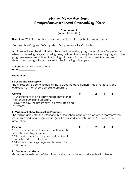### **Program Audit**

(Internal Checklist)

**Directions:** Write the number beside each statement using the following criteria:

0=None; 1=In Progress; 2=Completed; 3=Implemented; 4=Evaluated

Audits serve to set the standard for the school counseling program. Audits are first performed when a counseling program is being designed and then yearly to appraise the progress of the program development. Using the findings of the audit, strengths and weaknesses are determined, and goals are created for the following school year.

**School:** Mount Mercy Academy **Date:** \_\_\_\_\_\_\_\_\_\_\_\_\_

### **Foundation**

by whom.

### **I. Beliefs and Philosophy**

The philosophy is a set of principles that guides the development, implementation, and evaluation of the school counseling program.

| Criteria                                           |  | $1 \quad 2 \quad 3$ |  |
|----------------------------------------------------|--|---------------------|--|
| 1.1 A statement of philosophy has been written for |  |                     |  |
| the school counseling program.                     |  |                     |  |
| 1.2 Defines how the program will be evaluated and  |  |                     |  |

### **II. Mission of School Counseling Programs**

The mission articulates the intentionality of the school counseling program. It represents the immediate and long-range impact (what is required for each student 5-10 years after graduation.)

| Criteria                                          |  | $0 \quad 1 \quad 2 \quad 3$ |  |
|---------------------------------------------------|--|-----------------------------|--|
| 2.1 A mission statement has been written for the  |  |                             |  |
| school counseling program.                        |  |                             |  |
| 2.2 Links with the vision, purpose and mission of |  |                             |  |
| the state, district, and school.                  |  |                             |  |
| 2.3 Indicates the long-range results desired for  |  |                             |  |
| all students.                                     |  |                             |  |

### **III. Domains and Goals**

Goals are the extension of the mission and focus on the results students will achieve.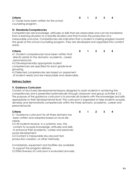**Criteria 0 1 2 3 4**

3.1 Goals have been written for the school counseling program.

### **IV. Standards/Competencies**

Competencies are knowledge, attitudes or skills that are observable and can be transferred from a learning situation to a real-life situation and that involve the production of a measurable outcome. Competencies are indicators that a student is making progress toward the goals of the school counseling program. They are developed and organized into content areas.

**Criteria 0 1 2 3 4**

4.1 Student competencies have been written that directly relate to the domains: academic, career, personal/social.

4.2 Developmentally appropriate student

competencies are specified for each grade-level grouping.

4.3 Selected competencies are based on assessment

of student needs and are measurable and observable.

### **Delivery System**

### **V. Guidance Curriculum**

Consists of structured developmental lessons designed to assist students in achieving the competencies and is presented systematically through classroom and group activities 6-12. The purpose of the guidance curriculum is to provide all students with the knowledge and skills appropriate to their developmental level. The curriculum is organized to help students acquire, develop and demonstrate competencies within the three domains: academic, career and personal/social.

### **Criteria 0 1 2 3 4**

5.1 Guidance curriculum for all three domains has been written and adopted based on local site needs.

5.2 All students receive, in a systemic way, the content to acquire knowledge, attitudes and skills to enhance their academic, career and personal/ social development.

5.3 Content is measurable (by pre-post test,

production creation, or other methods).

5.4 Materials, equipment and facilities are available

to support the program delivery.

5.5 Effectiveness of curriculum is evaluated annually.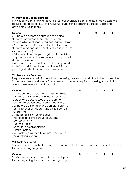### **VI. Individual Student Planning**

Individual student planning consists of school counselors coordinating ongoing systemic activities designed to assist the individual student in establishing personal goals and developing future plans.

6.1 There is a systemic approach to helping students understand themselves through interpretation of standardized and individual tests. 6.2 A tool exists at the secondary level to assist students in making appropriate educational plans (i.e. six-year plan).

6.3 Individual student planning includes: individual appraisal, individual advisement and appropriate student placement.

6.4 Accurate, appropriate and effective printed material is distributed to support the individual planning efforts of students and their parents.

### **VII. Responsive Services**

Responsive services within the school counseling program consist of activities to meet the immediate needs of students. These needs or concerns require counseling, consultation, referral, peer mediation or information.

### **Criteria 0 1 2 3 4**

7.1 Students are assisted in solving immediate problems that interfere with their academic, career, and personal/social development (conflict resolution and/or peer mediation). 7.2 There is a systematic and consistent provision for the referral of students who exhibit barriers to learning. 7.3 Responsive services include: Individual and small-group counseling Crisis counseling Peer facilitation Consultation/collaboration Referral system

7.4 A system is in place to ensure intervention

for identified students.

### **VIII. System Support**

System support consists of management activities that establish, maintain and enhance the total counseling program

| Criteria                                          |  | $1 \quad 2 \quad 3$ |  |
|---------------------------------------------------|--|---------------------|--|
| 8.1 Counselors provide professional development   |  |                     |  |
| to staff regarding the school counseling program. |  |                     |  |

| Criteria | 0 1 2 3 4 |  |  |
|----------|-----------|--|--|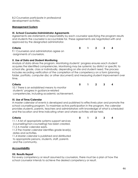8.2 Counselors participate in professional development activities.

### **Management System**

### **IX. School Counselor/Administrator Agreements**

Agreements are statements of responsibility by each counselor specifying the program results and students the counselor is accountable for. These agreements are negotiated with and approved by the designated administrator.

### **Criteria 0 1 2 3 4**

9.1 Counselors and administrators agree on assignments of counselors.

### **X. Use of Data and Student Monitoring**

Analysis of data drives the program. Monitoring students' progress ensures each student acquires the identified competencies. Monitoring may be systemic by district or specific to school site, grade, class or individually, depending on site and student need. The process includes recording verification of the completion of the competency on a form (planning folder, portfolio, computer disc or other document) and measuring student improvement over time.

### **Criteria 0 1 2 3 4**

10.1 There is an established means to monitor students' progress in guidance-related competencies, including academic achievement.

### **XI. Use of Time/Calendar**

A master calendar of events is developed and published to effectively plan and promote the school counseling program. To maximize active participation in the program, the calendar provides students, parents, teachers and administrators with knowledge of what is scheduled and the location and time indicating when and where activities will be held.

11.1 A list of appropriate systems support services (counseling/non-counseling) has been created. 11.2 A master calendar exists. 11.3 The master calendar identifies grade level(s), dates and activities.

11.4 Master calendar is published and distributed to appropriate persons, students, staff, parents and the community.

### **Accountability**

### **XII. Results Report**

For every competency or result assumed by counselors, there must be a plan of how the school counselor intends to achieve the desired competency or result.

**Criteria 0 1 2 3 4**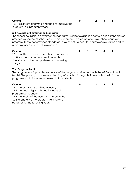| Criteria                                          | $\frac{1}{2}$ |  |  |
|---------------------------------------------------|---------------|--|--|
| 12.1 Results are analyzed and used to improve the |               |  |  |
| program in subsequent years.                      |               |  |  |

### **XIII. Counselor Performance Standards**

The school counselor's performance standards used for evaluation contain basic standards of practice expected of school counselors implementing a comprehensive school counseling program. These performance standards serve as both a basis for counselor evaluation and as a means for counselor self-evaluation.

### **Criteria 0 1 2 3 4**

13.1 Is written to access the school counselor's ability to understand and implement the foundation of the comprehensive counseling program.

### **XIV. Program Audit**

The program audit provides evidence of the program's alignment with the ASCA National Model. The primary purpose for collecting information is to guide future actions within the program and to improve future results for students.

**Criteria 0 1 2 3 4**

14.1 The program is audited annually. 14.2 The audit aligns with and includes all program components.

14.3 The results of the audit are shared in the spring and drive the program training and behavior for the following year.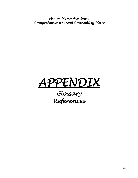

# *Glossary References*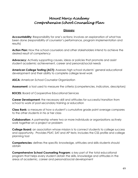### **Glossary**

Accountability: Responsibility for one's actions; involves an explanation of what has been done (responsibility of counselor's performance, program implementation and results)

**Action Plan:** How the school counselors and other stakeholders intend to achieve the desired result of competency

**Advocacy:** Actively supporting causes, ideas or policies that promote and assist student academic achievement, career and personal/social needs

**American College Testing (ACT):** Assesses high school students' general educational development and their ability to complete college level work

**ASCA:** American School Counselor Organization

**Assessment:** a tool used to measure the criteria (competencies, indicators, descriptors)

**BOCES:** Board of Cooperative Educational Services

**Career Development:** the necessary skill and attitudes for successful transition from school to work of post-secondary training or education

**Class Rank:** a measure of how a student's cumulative grade point average compares to the other students in his or her class

**Collaboration:** A partnership where two or more individuals or organizations actively work together on a project or problem

**College Board:** an association whose mission is to connect students to college success and opportunity. Provides PSAT, SAT and AP tests; includes the CSS profile and college planning tool

**Competencies:** defines the specific knowledge, attitudes and skills students should obtain

**Comprehensive School Counseling Program:** a key part of the total educational program that helps every student obtain the skills, knowledge and attitudes in the areas of academic, career and personal/social development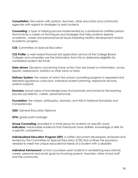**Consultation:** Discussions with parents, teachers, other educators and community agencies with regard to strategies to assist students

**Counseling:** a type of helping process implemented by a professional certified person that involves a variety of techniques and strategies that help students explore academic, career and personal/social issues impeding healthy development and/or academic progress

**CSE:** Committee on Special Education

**CSS Profile:** a web based financial aid application service of the College Board. Colleges and universities use the information from this to determine eligibility for nonfederal student aid funds

**Data-driven:** Decisions concerning future action that are based on information, survey reports, assessments, statistics or other forms of data

**Delivery System:** the means of which the school counseling program is organized and delivered (guidance curriculum, individual student planning, responsive services, systems support)

**Domains:** broad areas of knowledge base that promote and enhance the learning process (academic, career, personal/social)

**Foundation:** the mission, philosophy, domains, and ASCA National Standards and **Competencies** 

**GED:** General Education Diploma

**GPA:** grade point average

**Group Counseling:** provided in a small group for students on specific issues **Indicators:** measurable evidence that individuals have abilities, knowledge or skills for a specific competency

**Individualized Education Program (IEP):** a written document developed, reviewed and revised by the Committee on Special Education (CSE) that outlines the provisions needed to meet the unique educational needs of a student with a disability

**Individual Advisement:** school counselors assist students in establishing educational, career, personal and social goals by involving parents, teachers, other school staff and the community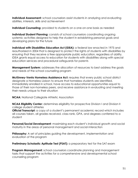**Individual Assessment:** school counselors assist students in analyzing and evaluating abilities, interests, skills and achievement

**Individual Counseling:** provided to students on a one-on-one basis as needed

**Individual Student Planning:** consists of school counselors coordinating ongoing systemic activities designed to help the student in establishing personal goals and developing plans for the future

**Individual with Disabilities Education Act (IDEA):** a federal law enacted in 1975 and reauthorized in 2004 that is designed to protect the rights of students with disabilities by ensuring that they receive a free appropriate public education, regardless of ability. IDEA grants equal access to education for students with disabilities along with special education services and procedural safeguards for parents

**Management System:** addresses the allocation of resources to best address the goals and needs of the school counseling program

**McKinney-Vento Homeless Assistance Act:** requires that every public school district designate a Homeless Liaison to ensure that homeless students are identified, immediately enrolled in school, have access to educational opportunities equal to those of their non-homeless peers, and receive assistance in evaluating and meeting their needs unique to their situation

**NCAA:** National Collegiate Athletic Association

**NCAA Eligibility Center:** determines eligibility for prospective Division I and Division II college student athletes

**Official Transcript:** a copy of a student's permanent academic record which includes all courses taken, all grades received, class rank, GPA, and degrees conferred to a student

**Personal/Social Development**: maximizing each student's individual growth and social maturity in the areas of personal management and social interaction

**Philosophy:** A set of principles guiding the development, implementation and evaluation of the program

**Preliminary Scholastic Aptitude Test (PSAT):** a preparatory test for the SAT exam

**Program Management:** school counselors coordinate planning and management tasks that support the activities for a comprehensive and developmental school counseling program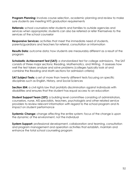**Program Planning:** involves course selection, academic planning and review to make sure students are meeting NYS graduation requirements

**Referrals:** school counselors refer students and families to outside agencies and services when appropriate; students can also be referred or refer themselves to the services of the school counselor

**Responsive Services:** activities that meet the immediate need of students, parents/guardians and teachers for referral, consultation or information

**Results Data:** outcome data; how students are measurably different as a result of the program

**Scholastic Achievement Test (SAT):** a standardized test for college admissions. The SAT consists of three major sections: Reading, Mathematics, and Writing. It assesses how well the test takers analyze and solve problems (colleges typically look at and combine the Reading and Math sections for admission criteria)

**SAT Subject Tests:** a set of more than twenty different tests focusing on specific disciplines such as English, History, and Social Sciences

**Section 504:** a civil rights law that prohibits discrimination against individuals with disabilities and ensures that the student has equal access to an education

**Student Support Team (SST):** a building level committee consisting of administrators, counselors, nurse, AIS specialists, teachers, psychologists and other related service providers to review relevant information with regard to the school program and its impact on student performance

**Systemic Change:** change affecting the entire system; focus of the change is upon the dynamic of the environment, not the individual

**System Support:** professional development, collaboration and teaming, consultation and program management and operation activities that establish, maintain and enhance the total school counseling program